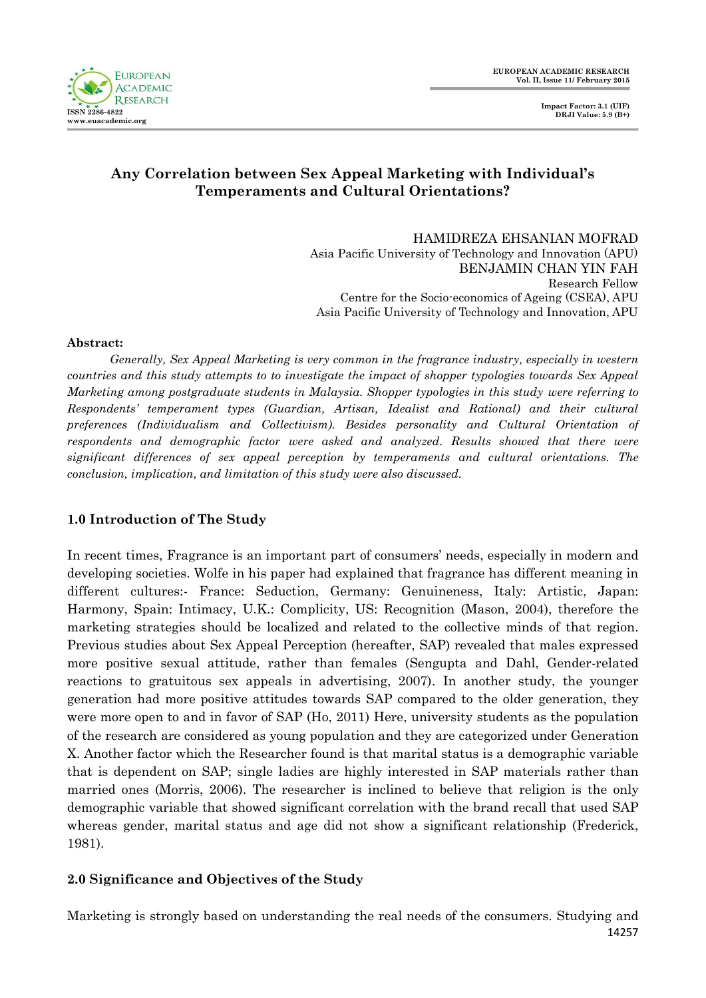

# **Any Correlation between Sex Appeal Marketing with Individual's Temperaments and Cultural Orientations?**

HAMIDREZA EHSANIAN MOFRAD Asia Pacific University of Technology and Innovation (APU) BENJAMIN CHAN YIN FAH Research Fellow Centre for the Socio-economics of Ageing (CSEA), APU Asia Pacific University of Technology and Innovation, APU

#### **Abstract:**

*Generally, Sex Appeal Marketing is very common in the fragrance industry, especially in western countries and this study attempts to to investigate the impact of shopper typologies towards Sex Appeal Marketing among postgraduate students in Malaysia. Shopper typologies in this study were referring to Respondents' temperament types (Guardian, Artisan, Idealist and Rational) and their cultural preferences (Individualism and Collectivism). Besides personality and Cultural Orientation of respondents and demographic factor were asked and analyzed. Results showed that there were significant differences of sex appeal perception by temperaments and cultural orientations. The conclusion, implication, and limitation of this study were also discussed.*

## **1.0 Introduction of The Study**

In recent times, Fragrance is an important part of consumers' needs, especially in modern and developing societies. Wolfe in his paper had explained that fragrance has different meaning in different cultures:- France: Seduction, Germany: Genuineness, Italy: Artistic, Japan: Harmony, Spain: Intimacy, U.K.: Complicity, US: Recognition (Mason, 2004), therefore the marketing strategies should be localized and related to the collective minds of that region. Previous studies about Sex Appeal Perception (hereafter, SAP) revealed that males expressed more positive sexual attitude, rather than females (Sengupta and Dahl, Gender-related reactions to gratuitous sex appeals in advertising, 2007). In another study, the younger generation had more positive attitudes towards SAP compared to the older generation, they were more open to and in favor of SAP (Ho, 2011) Here, university students as the population of the research are considered as young population and they are categorized under Generation X. Another factor which the Researcher found is that marital status is a demographic variable that is dependent on SAP; single ladies are highly interested in SAP materials rather than married ones (Morris, 2006). The researcher is inclined to believe that religion is the only demographic variable that showed significant correlation with the brand recall that used SAP whereas gender, marital status and age did not show a significant relationship (Frederick, 1981).

## **2.0 Significance and Objectives of the Study**

14257 Marketing is strongly based on understanding the real needs of the consumers. Studying and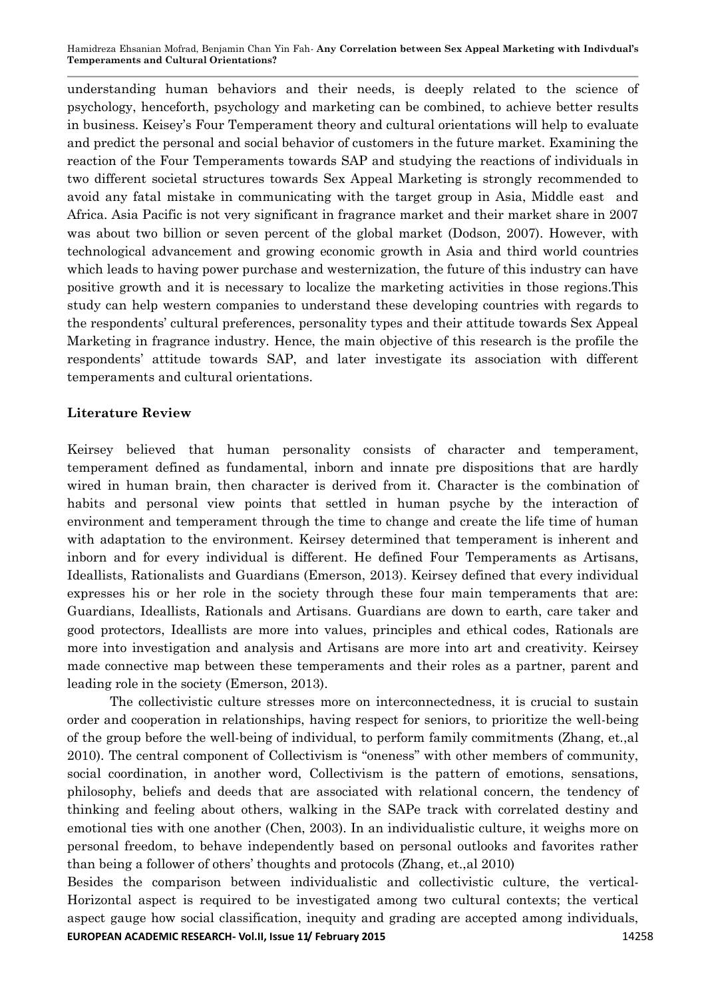Hamidreza Ehsanian Mofrad, Benjamin Chan Yin Fah*-* **Any Correlation between Sex Appeal Marketing with Indivdual's Temperaments and Cultural Orientations?**

understanding human behaviors and their needs, is deeply related to the science of psychology, henceforth, psychology and marketing can be combined, to achieve better results in business. Keisey's Four Temperament theory and cultural orientations will help to evaluate and predict the personal and social behavior of customers in the future market. Examining the reaction of the Four Temperaments towards SAP and studying the reactions of individuals in two different societal structures towards Sex Appeal Marketing is strongly recommended to avoid any fatal mistake in communicating with the target group in Asia, Middle east and Africa. Asia Pacific is not very significant in fragrance market and their market share in 2007 was about two billion or seven percent of the global market (Dodson, 2007). However, with technological advancement and growing economic growth in Asia and third world countries which leads to having power purchase and westernization, the future of this industry can have positive growth and it is necessary to localize the marketing activities in those regions.This study can help western companies to understand these developing countries with regards to the respondents' cultural preferences, personality types and their attitude towards Sex Appeal Marketing in fragrance industry. Hence, the main objective of this research is the profile the respondents' attitude towards SAP, and later investigate its association with different temperaments and cultural orientations.

### **Literature Review**

Keirsey believed that human personality consists of character and temperament, temperament defined as fundamental, inborn and innate pre dispositions that are hardly wired in human brain, then character is derived from it. Character is the combination of habits and personal view points that settled in human psyche by the interaction of environment and temperament through the time to change and create the life time of human with adaptation to the environment. Keirsey determined that temperament is inherent and inborn and for every individual is different. He defined Four Temperaments as Artisans, Ideallists, Rationalists and Guardians (Emerson, 2013). Keirsey defined that every individual expresses his or her role in the society through these four main temperaments that are: Guardians, Ideallists, Rationals and Artisans. Guardians are down to earth, care taker and good protectors, Ideallists are more into values, principles and ethical codes, Rationals are more into investigation and analysis and Artisans are more into art and creativity. Keirsey made connective map between these temperaments and their roles as a partner, parent and leading role in the society (Emerson, 2013).

The collectivistic culture stresses more on interconnectedness, it is crucial to sustain order and cooperation in relationships, having respect for seniors, to prioritize the well-being of the group before the well-being of individual, to perform family commitments (Zhang, et.,al 2010). The central component of Collectivism is "oneness" with other members of community, social coordination, in another word, Collectivism is the pattern of emotions, sensations, philosophy, beliefs and deeds that are associated with relational concern, the tendency of thinking and feeling about others, walking in the SAPe track with correlated destiny and emotional ties with one another (Chen, 2003). In an individualistic culture, it weighs more on personal freedom, to behave independently based on personal outlooks and favorites rather than being a follower of others' thoughts and protocols (Zhang, et.,al 2010)

**EUROPEAN ACADEMIC RESEARCH- Vol.II, Issue 11/ February 2015** 11 11258 Besides the comparison between individualistic and collectivistic culture, the vertical-Horizontal aspect is required to be investigated among two cultural contexts; the vertical aspect gauge how social classification, inequity and grading are accepted among individuals,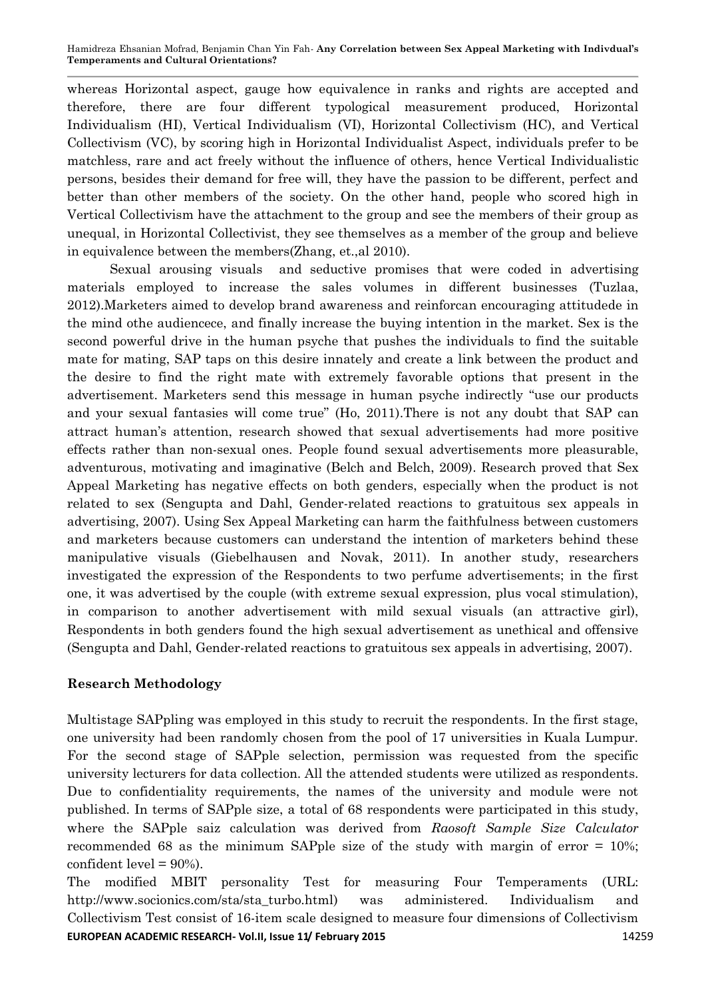Hamidreza Ehsanian Mofrad, Benjamin Chan Yin Fah*-* **Any Correlation between Sex Appeal Marketing with Indivdual's Temperaments and Cultural Orientations?**

whereas Horizontal aspect, gauge how equivalence in ranks and rights are accepted and therefore, there are four different typological measurement produced, Horizontal Individualism (HI), Vertical Individualism (VI), Horizontal Collectivism (HC), and Vertical Collectivism (VC), by scoring high in Horizontal Individualist Aspect, individuals prefer to be matchless, rare and act freely without the influence of others, hence Vertical Individualistic persons, besides their demand for free will, they have the passion to be different, perfect and better than other members of the society. On the other hand, people who scored high in Vertical Collectivism have the attachment to the group and see the members of their group as unequal, in Horizontal Collectivist, they see themselves as a member of the group and believe in equivalence between the members(Zhang, et.,al 2010).

Sexual arousing visuals and seductive promises that were coded in advertising materials employed to increase the sales volumes in different businesses (Tuzlaa, 2012).Marketers aimed to develop brand awareness and reinforcan encouraging attitudede in the mind othe audiencece, and finally increase the buying intention in the market. Sex is the second powerful drive in the human psyche that pushes the individuals to find the suitable mate for mating, SAP taps on this desire innately and create a link between the product and the desire to find the right mate with extremely favorable options that present in the advertisement. Marketers send this message in human psyche indirectly "use our products and your sexual fantasies will come true" (Ho, 2011).There is not any doubt that SAP can attract human's attention, research showed that sexual advertisements had more positive effects rather than non-sexual ones. People found sexual advertisements more pleasurable, adventurous, motivating and imaginative (Belch and Belch, 2009). Research proved that Sex Appeal Marketing has negative effects on both genders, especially when the product is not related to sex (Sengupta and Dahl, Gender-related reactions to gratuitous sex appeals in advertising, 2007). Using Sex Appeal Marketing can harm the faithfulness between customers and marketers because customers can understand the intention of marketers behind these manipulative visuals (Giebelhausen and Novak, 2011). In another study, researchers investigated the expression of the Respondents to two perfume advertisements; in the first one, it was advertised by the couple (with extreme sexual expression, plus vocal stimulation), in comparison to another advertisement with mild sexual visuals (an attractive girl), Respondents in both genders found the high sexual advertisement as unethical and offensive (Sengupta and Dahl, Gender-related reactions to gratuitous sex appeals in advertising, 2007).

### **Research Methodology**

Multistage SAPpling was employed in this study to recruit the respondents. In the first stage, one university had been randomly chosen from the pool of 17 universities in Kuala Lumpur. For the second stage of SAPple selection, permission was requested from the specific university lecturers for data collection. All the attended students were utilized as respondents. Due to confidentiality requirements, the names of the university and module were not published. In terms of SAPple size, a total of 68 respondents were participated in this study, where the SAPple saiz calculation was derived from *Raosoft Sample Size Calculator* recommended 68 as the minimum SAPple size of the study with margin of error = 10%; confident level = 90%).

**EUROPEAN ACADEMIC RESEARCH- Vol.II, Issue 11/ February 2015** 1998 1999 14259 The modified MBIT personality Test for measuring Four Temperaments (URL: [http://www.socionics.com/sta/sta\\_turbo.html\)](http://www.socionics.com/sta/sta_turbo.html) was administered. Individualism and Collectivism Test consist of 16-item scale designed to measure four dimensions of Collectivism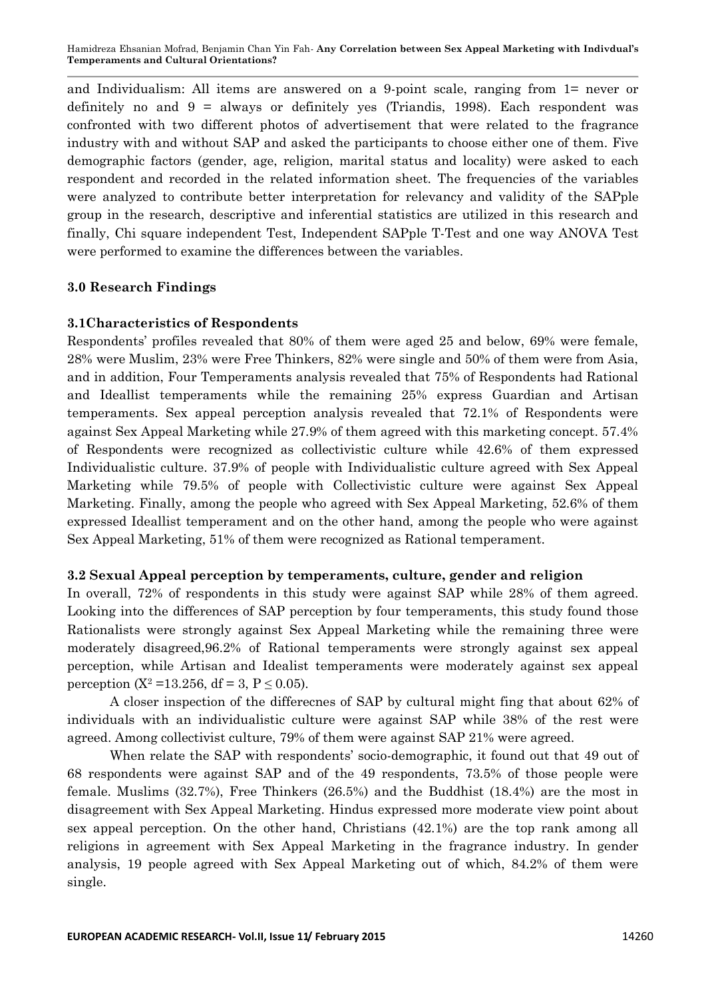Hamidreza Ehsanian Mofrad, Benjamin Chan Yin Fah*-* **Any Correlation between Sex Appeal Marketing with Indivdual's Temperaments and Cultural Orientations?**

and Individualism: All items are answered on a 9-point scale, ranging from 1= never or definitely no and  $9 =$  always or definitely yes (Triandis, 1998). Each respondent was confronted with two different photos of advertisement that were related to the fragrance industry with and without SAP and asked the participants to choose either one of them. Five demographic factors (gender, age, religion, marital status and locality) were asked to each respondent and recorded in the related information sheet. The frequencies of the variables were analyzed to contribute better interpretation for relevancy and validity of the SAPple group in the research, descriptive and inferential statistics are utilized in this research and finally, Chi square independent Test, Independent SAPple T-Test and one way ANOVA Test were performed to examine the differences between the variables.

### **3.0 Research Findings**

### **3.1Characteristics of Respondents**

Respondents' profiles revealed that 80% of them were aged 25 and below, 69% were female, 28% were Muslim, 23% were Free Thinkers, 82% were single and 50% of them were from Asia, and in addition, Four Temperaments analysis revealed that 75% of Respondents had Rational and Ideallist temperaments while the remaining 25% express Guardian and Artisan temperaments. Sex appeal perception analysis revealed that 72.1% of Respondents were against Sex Appeal Marketing while 27.9% of them agreed with this marketing concept. 57.4% of Respondents were recognized as collectivistic culture while 42.6% of them expressed Individualistic culture. 37.9% of people with Individualistic culture agreed with Sex Appeal Marketing while 79.5% of people with Collectivistic culture were against Sex Appeal Marketing. Finally, among the people who agreed with Sex Appeal Marketing, 52.6% of them expressed Ideallist temperament and on the other hand, among the people who were against Sex Appeal Marketing, 51% of them were recognized as Rational temperament.

### **3.2 Sexual Appeal perception by temperaments, culture, gender and religion**

In overall, 72% of respondents in this study were against SAP while 28% of them agreed. Looking into the differences of SAP perception by four temperaments, this study found those Rationalists were strongly against Sex Appeal Marketing while the remaining three were moderately disagreed,96.2% of Rational temperaments were strongly against sex appeal perception, while Artisan and Idealist temperaments were moderately against sex appeal perception (X<sup>2</sup> = 13.256, df = 3, P  $\leq$  0.05).

A closer inspection of the differecnes of SAP by cultural might fing that about 62% of individuals with an individualistic culture were against SAP while 38% of the rest were agreed. Among collectivist culture, 79% of them were against SAP 21% were agreed.

When relate the SAP with respondents' socio-demographic, it found out that 49 out of 68 respondents were against SAP and of the 49 respondents, 73.5% of those people were female. Muslims (32.7%), Free Thinkers (26.5%) and the Buddhist (18.4%) are the most in disagreement with Sex Appeal Marketing. Hindus expressed more moderate view point about sex appeal perception. On the other hand, Christians (42.1%) are the top rank among all religions in agreement with Sex Appeal Marketing in the fragrance industry. In gender analysis, 19 people agreed with Sex Appeal Marketing out of which, 84.2% of them were single.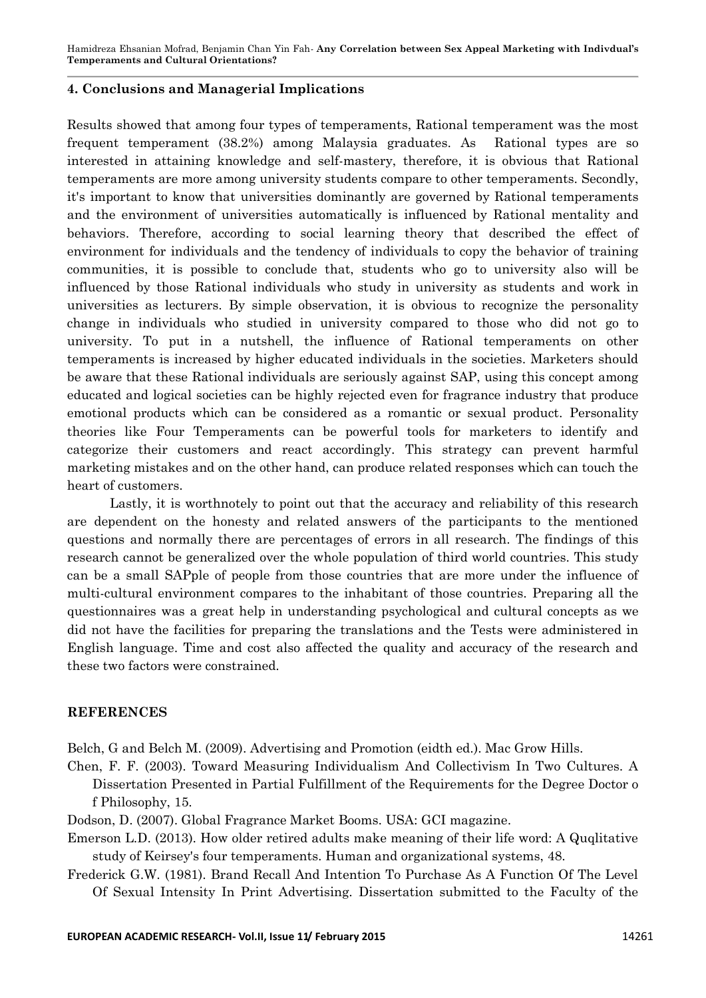### **4. Conclusions and Managerial Implications**

Results showed that among four types of temperaments, Rational temperament was the most frequent temperament (38.2%) among Malaysia graduates. As Rational types are so interested in attaining knowledge and self-mastery, therefore, it is obvious that Rational temperaments are more among university students compare to other temperaments. Secondly, it's important to know that universities dominantly are governed by Rational temperaments and the environment of universities automatically is influenced by Rational mentality and behaviors. Therefore, according to social learning theory that described the effect of environment for individuals and the tendency of individuals to copy the behavior of training communities, it is possible to conclude that, students who go to university also will be influenced by those Rational individuals who study in university as students and work in universities as lecturers. By simple observation, it is obvious to recognize the personality change in individuals who studied in university compared to those who did not go to university. To put in a nutshell, the influence of Rational temperaments on other temperaments is increased by higher educated individuals in the societies. Marketers should be aware that these Rational individuals are seriously against SAP, using this concept among educated and logical societies can be highly rejected even for fragrance industry that produce emotional products which can be considered as a romantic or sexual product. Personality theories like Four Temperaments can be powerful tools for marketers to identify and categorize their customers and react accordingly. This strategy can prevent harmful marketing mistakes and on the other hand, can produce related responses which can touch the heart of customers.

Lastly, it is worthnotely to point out that the accuracy and reliability of this research are dependent on the honesty and related answers of the participants to the mentioned questions and normally there are percentages of errors in all research. The findings of this research cannot be generalized over the whole population of third world countries. This study can be a small SAPple of people from those countries that are more under the influence of multi-cultural environment compares to the inhabitant of those countries. Preparing all the questionnaires was a great help in understanding psychological and cultural concepts as we did not have the facilities for preparing the translations and the Tests were administered in English language. Time and cost also affected the quality and accuracy of the research and these two factors were constrained.

### **REFERENCES**

Belch, G and Belch M. (2009). Advertising and Promotion (eidth ed.). Mac Grow Hills.

Chen, F. F. (2003). Toward Measuring Individualism And Collectivism In Two Cultures. A Dissertation Presented in Partial Fulfillment of the Requirements for the Degree Doctor o f Philosophy, 15.

Dodson, D. (2007). Global Fragrance Market Booms. USA: GCI magazine.

Emerson L.D. (2013). How older retired adults make meaning of their life word: A Quqlitative study of Keirsey's four temperaments. Human and organizational systems, 48.

Frederick G.W. (1981). Brand Recall And Intention To Purchase As A Function Of The Level Of Sexual Intensity In Print Advertising. Dissertation submitted to the Faculty of the